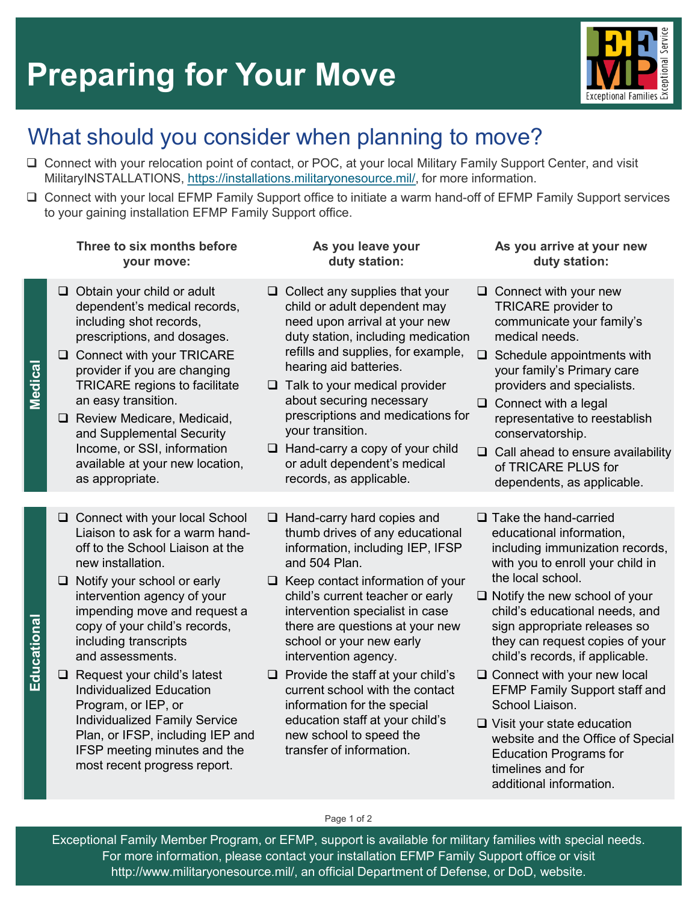# **Preparing for Your Move**



## What should you consider when planning to move?

- Connect with your relocation point of contact, or POC, at your local Military Family Support Center, and visit MilitaryINSTALLATIONS, [https://installations.militaryonesource.mil/,](https://installations.militaryonesource.mil/) for more information.
- Connect with your local EFMP Family Support office to initiate a warm hand-off of EFMP Family Support services to your gaining installation EFMP Family Support office.

#### **Three to six months before your move:**

- $\Box$  Obtain your child or adult dependent's medical records, including shot records, prescriptions, and dosages.
- □ Connect with your TRICARE provider if you are changing TRICARE regions to facilitate an easy transition.

**edicalM**

**lonaitaducE**

Educational

- $\Box$  Review Medicare, Medicaid, and Supplemental Security Income, or SSI, information available at your new location, as appropriate.
- □ Connect with your local School Liaison to ask for a warm handoff to the School Liaison at the new installation.
- □ Notify your school or early intervention agency of your impending move and request a copy of your child's records, including transcripts and assessments.
- $\Box$  Request your child's latest Individualized Education Program, or IEP, or Individualized Family Service Plan, or IFSP, including IEP and IFSP meeting minutes and the most recent progress report.

#### **As you leave your duty station:**

- $\Box$  Collect any supplies that your child or adult dependent may need upon arrival at your new duty station, including medication refills and supplies, for example, hearing aid batteries.
- $\Box$  Talk to your medical provider about securing necessary prescriptions and medications for your transition.
- $\Box$  Hand-carry a copy of your child or adult dependent's medical records, as applicable.

thumb drives of any educational information, including IEP, IFSP

 $\Box$  Keep contact information of your child's current teacher or early intervention specialist in case there are questions at your new

school or your new early intervention agency.

 $\Box$  Provide the staff at your child's current school with the contact information for the special education staff at your child's new school to speed the transfer of information.

□ Hand-carry hard copies and

and 504 Plan.

#### **As you arrive at your new duty station:**

- $\Box$  Connect with your new TRICARE provider to communicate your family's medical needs.
- $\Box$  Schedule appointments with your family's Primary care providers and specialists.
- $\Box$  Connect with a legal representative to reestablish conservatorship.
- $\Box$  Call ahead to ensure availability of TRICARE PLUS for dependents, as applicable.
- $\Box$  Take the hand-carried educational information, including immunization records, with you to enroll your child in the local school.
- $\Box$  Notify the new school of your child's educational needs, and sign appropriate releases so they can request copies of your child's records, if applicable.
- □ Connect with your new local EFMP Family Support staff and School Liaison.
- Visit your state education website and the Office of Special Education Programs for timelines and for additional information.

Page 1 of 2

Exceptional Family Member Program, or EFMP, support is available for military families with special needs. For more information, please contact your installation EFMP Family Support office or visit http://www.militaryonesource.mil/, an official Department of Defense, or DoD, website.